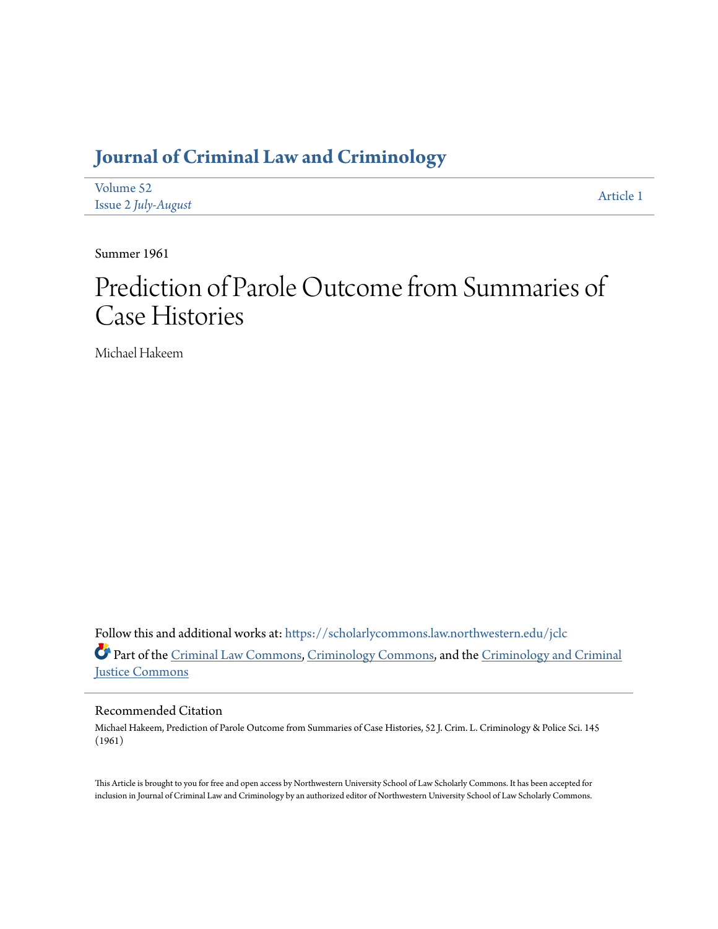## **[Journal of Criminal Law and Criminology](https://scholarlycommons.law.northwestern.edu/jclc?utm_source=scholarlycommons.law.northwestern.edu%2Fjclc%2Fvol52%2Fiss2%2F1&utm_medium=PDF&utm_campaign=PDFCoverPages)**

| Volume 52           | Article 1 |
|---------------------|-----------|
| Issue 2 July-August |           |

Summer 1961

# Prediction of Parole Outcome from Summaries of Case Histories

Michael Hakeem

Follow this and additional works at: [https://scholarlycommons.law.northwestern.edu/jclc](https://scholarlycommons.law.northwestern.edu/jclc?utm_source=scholarlycommons.law.northwestern.edu%2Fjclc%2Fvol52%2Fiss2%2F1&utm_medium=PDF&utm_campaign=PDFCoverPages) Part of the [Criminal Law Commons](http://network.bepress.com/hgg/discipline/912?utm_source=scholarlycommons.law.northwestern.edu%2Fjclc%2Fvol52%2Fiss2%2F1&utm_medium=PDF&utm_campaign=PDFCoverPages), [Criminology Commons](http://network.bepress.com/hgg/discipline/417?utm_source=scholarlycommons.law.northwestern.edu%2Fjclc%2Fvol52%2Fiss2%2F1&utm_medium=PDF&utm_campaign=PDFCoverPages), and the [Criminology and Criminal](http://network.bepress.com/hgg/discipline/367?utm_source=scholarlycommons.law.northwestern.edu%2Fjclc%2Fvol52%2Fiss2%2F1&utm_medium=PDF&utm_campaign=PDFCoverPages) [Justice Commons](http://network.bepress.com/hgg/discipline/367?utm_source=scholarlycommons.law.northwestern.edu%2Fjclc%2Fvol52%2Fiss2%2F1&utm_medium=PDF&utm_campaign=PDFCoverPages)

### Recommended Citation

Michael Hakeem, Prediction of Parole Outcome from Summaries of Case Histories, 52 J. Crim. L. Criminology & Police Sci. 145 (1961)

This Article is brought to you for free and open access by Northwestern University School of Law Scholarly Commons. It has been accepted for inclusion in Journal of Criminal Law and Criminology by an authorized editor of Northwestern University School of Law Scholarly Commons.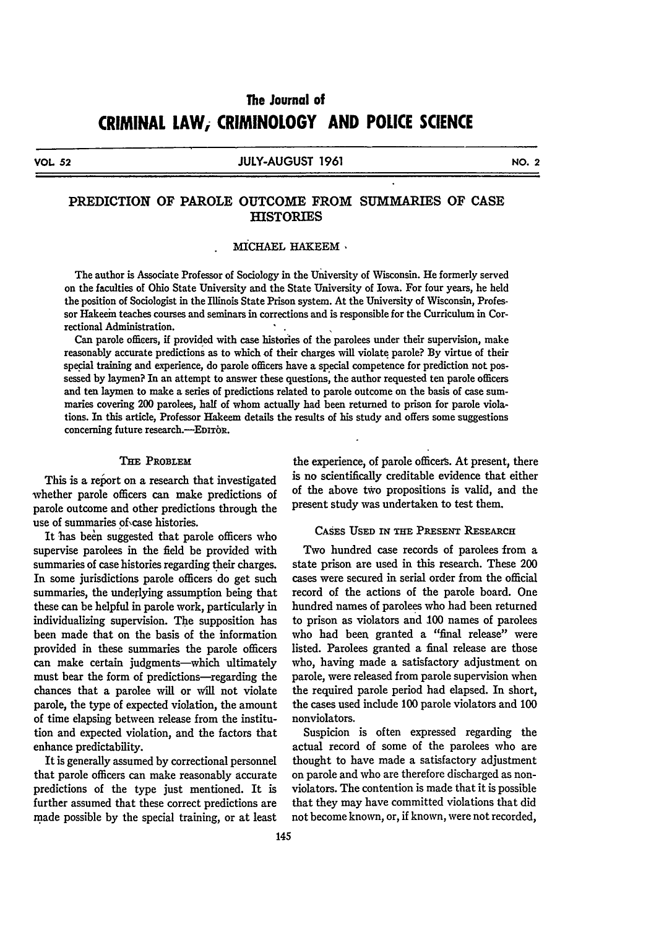## The Journal of **CRIMINAL LAW, CRIMINOLOGY AND POLICE SCIENCE**

**VOL 52 JULY-AUGUST 1961 NO.** 2

#### PREDICTION OF PAROLE **OUTCOME** FROM SUMMARIES OF **CASE HISTORIES**

#### MICHAEL HAKEEM

The author is Associate Professor of Sociology in the University of Wisconsin. He formerly served on the faculties of Ohio State University and the State University of Iowa. For four years, he held the position of Sociologist in the Illinois State Prison system. At the University of Wisconsin, Professor Hakeein teaches courses and seminars in corrections and is responsible for the Curriculum in Correctional Administration.

Can parole officers, if provided with case histories of the parolees under their supervision, make reasonably accurate predictions as to which of their charges will violate parole? By virtue of their special training and experience, do parole officers have a special competence for prediction not possessed **by** laymen? In an attempt to answer these questions, the author requested ten parole officers and ten laymen to make a series of predictions related to parole outcome on the basis of case summaries covering 200 parolees, half of whom actually had been returned to prison for parole violations. In this article, Professor Hakeem details the results of his study and offers some suggestions concerning future research.--EDITOR.

#### THE PROBLEM

This is a report on a research that investigated whether parole officers can make predictions of parole outcome and other predictions through the use of summaries of case histories.

It has been suggested that parole officers who supervise parolees in the field be provided with summaries of case histories regarding their charges. In some jurisdictions parole officers do get such summaries, the underlying assumption being that these can be helpful in parole work, particularly in individualizing supervision. The supposition has been made that on the basis of the information provided in these summaries the parole officers can make certain judgments-which ultimately must bear the form of predictions-regarding the chances that a parolee will or will not violate parole, the type of expected violation, the amount of time elapsing between release from the institution and expected violation, and the factors that enhance predictability.

It is generally assumed by correctional personnel that parole officers can make reasonably accurate predictions of the type just mentioned. It is further assumed that these correct predictions are made possible by the special training, or at least

the experience, of parole officers. At present, there is no scientifically creditable evidence that either of the above two propositions is valid, and the present study was undertaken to test them.

#### **CASES USED** IN THE **PRESENr** RESEARCH

Two hundred case records of parolees from a state prison are used in this research. These 200 cases were secured in serial order from the official record of the actions of the parole board. One hundred names of parolees who had been returned to prison as violators and **100** names of parolees who had been granted a "final release" were listed. Parolees granted a final release are those who, having made a satisfactory adjustment on parole, were released from parole supervision when the required parole period had elapsed. In short, the cases used include **100** parole violators and **100** nonviolators.

Suspicion is often expressed regarding the actual record of some of the parolees who are thought to have made a satisfactory adjustment on parole and who are therefore discharged as nonviolators. The contention is made that it is possible that they may have committed violations that did not become known, or, if known, were not recorded,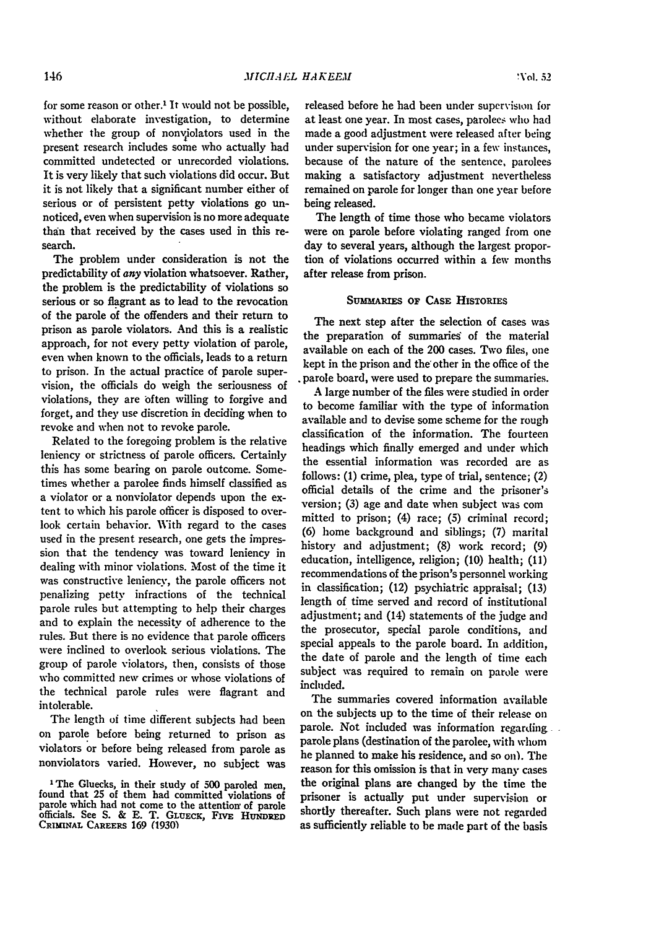for some reason or other.' It would not be possible, without elaborate investigation, to determine whether the group of nonviolators used in the present research includes some who actually had committed undetected or unrecorded violations. It is very likely that such violations did occur. But it is not likely that a significant number either of serious or of persistent petty violations go unnoticed, even when supervision is no more adequate than that received by the cases used in this research.

The problem under consideration is not the predictability of *any* violation whatsoever. Rather, the problem is the predictability of violations so serious or so flagrant as to lead to the revocation of the parole of the offenders and their return to prison as parole violators. And this is a realistic approach, for not every petty violation of parole, even when known to the officials, leads to a return to prison. In the actual practice of parole supervision, the officials do weigh the seriousness of violations, they are often willing to forgive and forget, and they use discretion in deciding when to revoke and when not to revoke parole.

Related to the foregoing problem is the relative leniency or strictness of parole officers. Certainly this has some bearing on parole outcome. Sometimes whether a parolee finds himself classified as a violator or a nonviolator depends upon the extent to which his parole officer is disposed to overlook certain behavior. With regard to the cases used in the present research, one gets the impression that the tendency was toward leniency in dealing with minor violations. Most of the time it was constructive leniency, the parole officers not penalizing petty infractions of the technical parole rules but attempting to help their charges and to explain the necessity of adherence to the rules. But there is no evidence that parole officers were inclined to overlook serious violations. The group of parole violators, then, consists of those who committed new crimes or whose violations of the technical parole rules were flagrant and intolerable.

The length of time different subjects had been on parole before being returned to prison as violators or before being released from parole as nonviolators varied. However, no subject was released before he had been under supervision for at least one year. In most cases, parolees who had made a good adjustment were released after being under supervision for one year; in a few instances, because of the nature of the sentence, parolees making a satisfactory adjustment nevertheless remained on parole **for** longer than one year before being released.

The length of time those who became violators were on parole before violating ranged from one day to several years, although the largest proportion of violations occurred within a few months after release from prison.

#### SuMMRiEs **OF** CASE HISTORIES

The next step after the selection of cases was the preparation of summaries' of the material available on each of the 200 cases. Two files, one kept in the prison and the'other in the office of the parole board, were used to prepare the summaries.

A large number of the files were studied in order to become familiar with the type of information available and to devise some scheme for the rough classification of the information. The fourteen headings which finally emerged and under which the essential information was recorded are as follows: **(1)** crime, plea, type of trial, sentence; (2) official details of the crime and the prisoner's version; (3) age and date when subject was com mitted to prison; (4) race; **(5)** criminal record; (6) home background and siblings; (7) marital history and adjustment; (8) work record; (9) education, intelligence, religion; (10) health; (11) recommendations of the prison's personnel working in classification; (12) psychiatric appraisal; (13) length of time served and record of institutional adjustment; and (14) statements of the judge and the prosecutor, special parole conditions, and special appeals to the parole board. In addition, the date of parole and the length of time each subject was required to remain on parole were included.

The summaries covered information available on the subjects up to the time of their release on parole. Not included was information regarding parole plans (destination of the parolee, with whom he planned to make his residence, and so on). The reason for this omission is that in very many cases the original plans are changed by the time the prisoner is actually put under supervision or shortly thereafter. Such plans were not regarded as sufficiently reliable to be made part of the basis

<sup>&#</sup>x27;The Gluecks, in their study of **500** paroled men, found that **25** of them **had** committed violations of parole which had not come to the attention of parole officials. See **S. & E.** T. **GLUEcic, FivE HUNDRED CRIMINAL CAREERS 169 (1930)**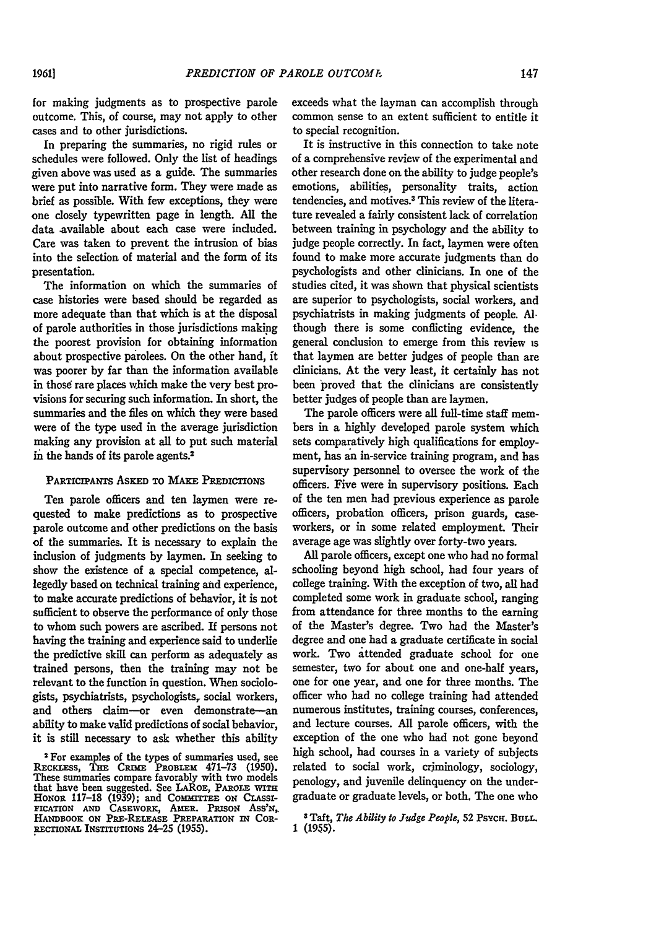for making judgments as to prospective parole outcome. This, of course, may not apply to other cases and to other jurisdictions.

In preparing the summaries, no rigid rules or schedules were followed. Only the list of headings given above was used as a guide. The summaries were put into narrative form. They were made as brief as possible. With few exceptions, they were one closely typewritten page in length. **All** the data available about each case were included. Care was taken to prevent the intrusion of bias into the selection of material and the form of its presentation.

The information on which the summaries of case histories were based should be regarded as more adequate than that which is at the disposal of parole authorities in those jurisdictions making the poorest provision for obtaining information about prospective parolees. On the other hand, it was poorer by far than the information available in those rare places which make the very best provisions for securing such information. In short, the summaries and the files on which they were based were of the type used in the average jurisdiction making any provision at all to put such material in the hands of its parole agents.<sup>2</sup>

#### PARTICIPANTS ASKED TO MAKE PREDICTIONS

Ten parole officers and ten laymen were requested to make predictions as to prospective parole outcome and other predictions on the basis of the summaries. It is necessary to explain the inclusion of judgments by laymen. In seeking to show the existence of a special competence, allegedly based on technical training and experience, to make accurate predictions of behavior, it is not sufficient to observe the performance of only those to whom such powers are ascribed. If persons not having the training and experience said to underlie the predictive skill can perform as adequately as trained persons, then the training may not be relevant to the function in question. When sociologists, psychiatrists, psychologists, social workers, and others claim-or even demonstrate-an ability to make valid predictions of social behavior, it is still necessary to ask whether this ability exceeds what the layman can accomplish through common sense to an extent sufficient to entitle it to special recognition.

It is instructive in this connection to take note of a comprehensive review of the experimental and other research done on the ability to judge people's emotions, abilities, personality traits, action tendencies, and motives.3 This review of the literature revealed a fairly consistent lack of correlation between training in psychology and the ability to judge people correctly. In fact, laymen were often found to make more accurate judgments than do psychologists and other clinicians. In one of the studies cited, it was shown that physical scientists are superior to psychologists, social workers, and psychiatrists in making judgments of people. *Al*though there is some conflicting evidence, the general conclusion to emerge from this review is that laymen are better judges of people than are clinicians. At the very least, it certainly has not been proved that the clinicians are consistently better judges of people than are laymen.

The parole officers were all full-time staff members in a highly developed parole system which sets comparatively high qualifications for employment, has an in-service training program, and has supervisory personnel to oversee the work of the officers. Five were in supervisory positions. Each of the ten men had previous experience as parole officers, probation officers, prison guards, caseworkers, or in some related employment. Their average age was slightly over forty-two years.

**All** parole officers, except one who had no formal schooling beyond high school, had four years of college training. With the exception of two, all had completed some work in graduate school, ranging from attendance for three months to the earning of the Master's degree. Two had the Master's degree and one had a graduate certificate in social work. Two attended graduate school for one semester, two for about one and one-half years, one for one year, and one for three months. The officer who had no college training had attended numerous institutes, training courses, conferences, and lecture courses. All parole officers, with the exception of the one who had not gone beyond high school, had courses in a variety of subjects related to social work, criminology, sociology, penology, and juvenile delinquency on the undergraduate or graduate levels, or both. The one who

**3** Taft, *The Ability to Judge People,* 52 PsYcH. **BULL. 1 (1955).**

<sup>2</sup> For examples of the types of summaries used, see REcKLEss, **THE** CRmE PROBLEx **471-73 (1950).** These summaries compare favorably with two models that have been suggested. See **LAROE,** PAROLEx **WITH** HONOR 117-18 (1939); and COMMITTEE ON CLASSI-**FICATION AND CASEWORK,** AMER. **PRISON** ASS'N,, **HANDBOOK ON** PRE-RELEASE **PREPARATION IN** CoR-**RECTIONAL INSTITUTIONS** 24-25 **(1955).**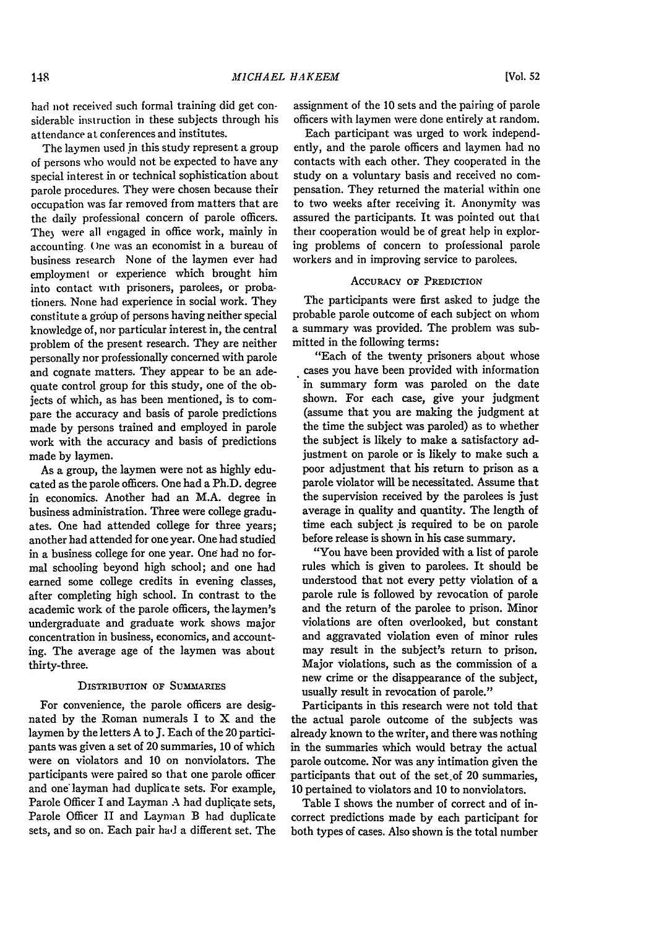had not received such formal training did get considerable instruction in these subjects through his attendance at conferences and institutes.

The laymen used **jn** this study represent a group of persons who would not be expected to have any special interest in or technical sophistication about parole procedures. They were chosen because their occupation was far removed from matters that are the daily professional concern of parole officers. They were all engaged in office work, mainly in accounting. One was an economist in a bureau of business research None of the laymen ever had employment or experience which brought him into contact with prisoners, parolees, or probationers. None had experience in social work. They constitute a group of persons having neither special knowledge of, nor particular interest in, the central problem of the present research. They are neither personally nor professionally concerned with parole and cognate matters. They appear to be an adequate control group for this study, one of the objects of which, as has been mentioned, is to compare the accuracy and basis of parole predictions made by persons trained and employed in parole work with the accuracy and basis of predictions made by laymen.

As a group, the laymen were not as highly educated as the parole officers. One had a Ph.D. degree in economics. Another had an M.A. degree in business administration. Three were college graduates. One had attended college for three years; another had attended for one year. One had studied in a business college for one year. One had no formal schooling beyond high school; and one had earned some college credits in evening classes, after completing high school. In contrast to the academic work of the parole officers, the laymen's undergraduate and graduate work shows major concentration in business, economics, and accounting. The average age of the laymen was about thirty-three.

#### DISTRIBUTION OF SUMMARIES

For convenience, the parole officers are designated by the Roman numerals I to X and the laymen by the letters A to **J.** Each of the 20 participants was given a set of 20 summaries, 10 of which were on violators and 10 on nonviolators. The participants were paired so that one parole officer and one'layman had duplicate sets. For example, Parole Officer I and Layman A had duplicate sets, Parole Officer II and Layman B had duplicate sets, and so on. Each pair had a different set. The

assignment of the **10** sets and the pairing of parole officers with laymen were done entirely at random.

Each participant was urged to work independently, and the parole officers and laymen **had** no contacts with each other. They cooperated in the study on a voluntary basis and received no compensation. They returned the material within one to two weeks after receiving it. Anonymity was assured the participants. It was pointed out that their cooperation would be of great help in exploring problems of concern to professional parole workers and in improving service to parolees.

#### ACCURACY **oF** PREDICTION

The participants were first asked to judge the probable parole outcome of each subject on whom a summary was provided. The problem was submitted in the following terms:

"Each of the twenty prisoners about whose cases you have been provided with information in summary form was paroled on the date shown. For each case, give your judgment (assume that you are making the judgment at the time the subject was paroled) as to whether the subject is likely to make a satisfactory adjustment on parole or is likely to make such a poor adjustment that his return to prison as a parole violator will be necessitated. Assume that the supervision received by the parolees is just average in quality and quantity. The length of time each subject is required to be on parole before release is shown in his case summary.

"You have been provided with a list of parole rules which is given to parolees. It should be understood that not every petty violation of a parole rule is followed by revocation of parole and the return of the parolee to prison. Minor violations are often overlooked, but constant and aggravated violation even of minor rules may result in the subject's return to prison. Major violations, such as the commission of a new crime or the disappearance of the subject, usually result in revocation of parole."

Participants in this research were not told that the actual parole outcome of the subjects was already known to the writer, and there was nothing in the summaries which would betray the actual parole outcome. Nor was any intimation given the participants that out of the set.of 20 summaries, 10 pertained to violators and 10 to nonviolators.

Table I shows the number of correct and of incorrect predictions made by each participant for both types of cases. Also shown is the total number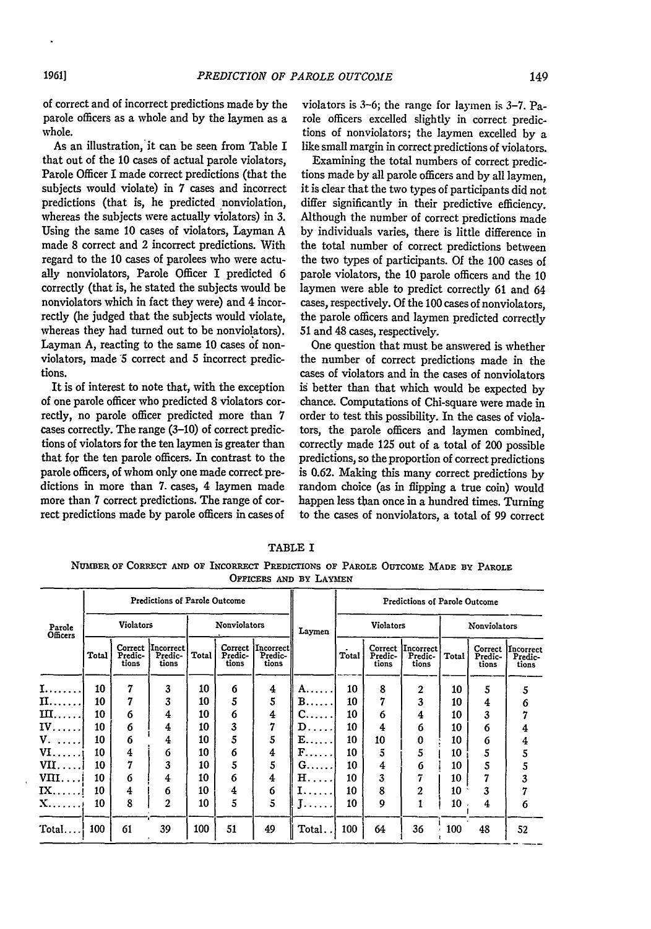of correct and of incorrect predictions made by the parole officers as a whole and by the laymen as a whole.

As an illustration, it can be seen from Table I that out of the 10 cases of actual parole violators, Parole Officer I made correct predictions (that the subjects would violate) in 7 cases and incorrect predictions (that is, he predicted nonviolation, whereas the subjects were actually violators) in 3. Using the same 10 cases of violators, Layman A made 8 correct and 2 incorrect predictions. With regard to the 10 cases of parolees who were actually nonviolators, Parole Officer I predicted 6 correctly (that is, he stated the subjects would be nonviolators which in fact they were) and 4 incorrectly (he judged that the subjects would violate, whereas they had turned out to be nonviolators). Layman A, reacting to the same 10 cases of nonviolators, made *'5* correct and 5 incorrect predictions.

It is of interest to note that, with the exception of one parole officer who predicted 8 violators correctly, no parole officer predicted more than 7 cases correctly. The range (3-10) of correct predictions of violators for the ten laymen is greater than that for the ten parole officers. In contrast to the parole officers, of whom only one made correct predictions in more than 7. cases, 4 laymen made more than 7 correct predictions. The range of correct predictions made by parole officers in cases of

violators is 3-6; the range for laymen is **3-7.** Parole officers excelled slightly in correct predictions of nonviolators; the laymen excelled by a like small margin in correct predictions of violators.

Examining the total numbers of correct predictions made by all parole officers and by all laymen, it is clear that the two types of participants did not differ significantly in their predictive efficiency. Although the number of correct predictions made by individuals varies, there is little difference in the total number of correct predictions between the two types of participants. **Of** the **100** cases of parole violators, the **10** parole officers and the 10 laymen were able to predict correctly 61 and 64 cases, respectively. Of the **100** cases of nonviolators, the parole officers and laymen predicted correctly 51 and 48 cases, respectively.

One question that must be answered is whether the number of correct predictions made in the cases of violators and in the cases of nonviolators is better than that which would be expected by chance. Computations of Chi-square were made in order to test this possibility. In the cases of violators, the parole officers and laymen combined, correctly made 125 out of a total of 200 possible predictions, so the proportion of correct predictions is 0.62. Making this many correct predictions by random choice (as in flipping a true coin) would happen less than once in a hundred times. Turning to the cases of nonviolators, a total of 99 correct

TABLE I **NUMBER OF CORRECT** *AND* **OF INCORRECT PREDICTIONS OF PAROLE OUTCOME MADE BY PAROLE OFFICERS AND BY LAYMEN**

|                      |       |                             | Predictions of Parole Outcome        |                     |                             |                               |                                                                          | <b>Predictions of Parole Outcome</b> |                             |                               |              |                             |                               |  |
|----------------------|-------|-----------------------------|--------------------------------------|---------------------|-----------------------------|-------------------------------|--------------------------------------------------------------------------|--------------------------------------|-----------------------------|-------------------------------|--------------|-----------------------------|-------------------------------|--|
| Parole<br>Officers   |       | Violators                   |                                      | <b>Nonviolators</b> |                             |                               | Laymen                                                                   |                                      | <b>Violators</b>            |                               | Nonviolators |                             |                               |  |
|                      | Total | Correct<br>Predic-<br>tions | <i>Incorrect</i><br>Predic-<br>tions | Total               | Correct<br>Predic-<br>tions | Incorrect<br>Predic-<br>tions |                                                                          | Total                                | Correct<br>Predic-<br>tions | Incorrect<br>Predic-<br>tions | Total        | Correct<br>Predic-<br>tions | Incorrect<br>Predic-<br>tions |  |
| I.                   | 10    | 7                           | 3                                    | 10                  | 6                           | 4                             | A.                                                                       | 10                                   | 8                           | $\overline{2}$                | 10           | 5                           | 5                             |  |
| <b>II.</b>           | 10    | 7                           | 3                                    | 10                  | 5                           | 5                             | $B$                                                                      | 10                                   | 7                           | 3                             | 10           | 4                           | 6                             |  |
| $\text{III}.$        | 10    | 6                           | 4                                    | 10                  | 6                           | 4                             | $C_{\cdots}$ .                                                           | 10                                   | 6                           | 4                             | 10           | 3                           |                               |  |
| $IV$                 | 10    | 6                           | 4                                    | 10                  | 3                           | 7                             | $\mathbf{D}_{\,\cdot\, \,\cdot\, \,\cdot\, \,\cdot\, \,\cdot\, \,\cdot}$ | 10                                   | 4                           | 6                             | 10           | 6                           | 4                             |  |
| $V. \ldots$          | 10    | 6                           | 4                                    | 10                  | 5                           | 5                             | $\mathbf{E} \dots \dots$                                                 | 10                                   | 10                          | 0                             | 10           | 6                           | 4                             |  |
| $VI \ldots$          | 10    | 4                           | 6                                    | 10                  | 6                           | 4                             | F                                                                        | 10                                   | 5                           | 5                             | 10           | 5                           | 5                             |  |
|                      | 10    | 7                           | 3                                    | 10                  | 5                           | 5                             | $G$                                                                      | 10                                   | 4                           | 6                             | 10           | 5                           | 5                             |  |
| $\text{VIII.}\ldots$ | 10    | 6                           | 4                                    | 10                  | 6                           | 4                             | $H$                                                                      | 10                                   | 3                           | 7                             | 10           | 7                           | 3                             |  |
| IX.                  | 10    | 4                           | 6                                    | 10                  | 4                           | 6                             | 1.                                                                       | 10                                   | 8                           | $\overline{2}$                | 10           | 3                           |                               |  |
| X.                   | 10    | 8                           | 2                                    | 10                  | 5                           | 5                             | <b>Bassar</b>                                                            | 10                                   | 9                           |                               | 10           | 4                           | 6                             |  |
| Total                | 100   | 61                          | 39                                   | 100                 | 51                          | 49                            | Total.                                                                   | 100                                  | 64                          | 36                            | 100          | 48                          | 52                            |  |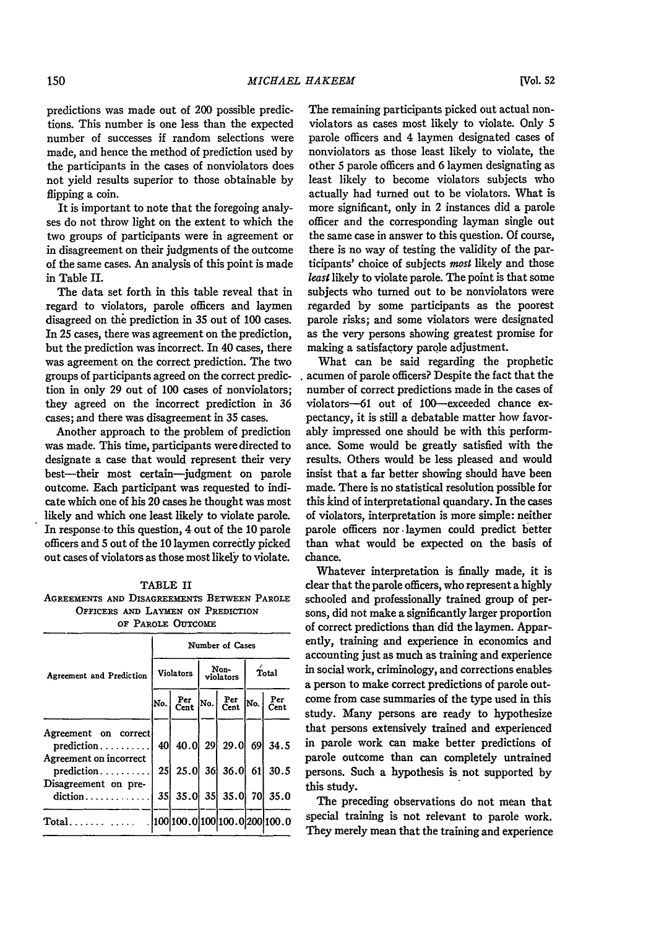predictions was made out of 200 possible predictions. This number is one less than the expected number of successes if random selections were made, and hence the method of prediction used by the participants in the cases of nonviolators does not yield results superior to those obtainable by flipping a coin.

It is important to note that the foregoing analyses do not throw light on the extent to which the two groups of participants were in agreement or in disagreement on their judgments of the outcome of the same cases. An analysis of this point is made in Table II.

The data set forth in this table reveal that in regard to violators, parole officers and laymen disagreed on the prediction in 35 out of 100 cases. In 25 cases, there was agreement on the prediction, but the prediction was incorrect. In 40 cases, there was agreement on the correct prediction. The two groups of participants agreed on the correct prediction in only 29 out of 100 cases of nonviolators; they agreed on the incorrect prediction in 36 cases; and there was disagreement in 35 cases.

Another approach to the problem of prediction was made. This time, participants were directed to designate a case that would represent their very best-their most certain-judgment on parole outcome. Each participant was requested to indicate which one of his 20 cases he thought was most likely and which one least likely to violate parole. In response to this question, 4 out of the 10 parole officers and 5 out of the **10** laymen correctly picked out cases of violators as those most likely to violate.

#### TABLE II

**AGREEMENTS AND DISAGREEMENTS** BETWEEN **PAROLE OFFICERS AND LAYMEN ON PREDICTION OF** PAROLE **OUTCOME**

|                                                                              | Number of Cases |                                                                                                                                                                           |  |                   |       |             |  |  |  |  |  |  |
|------------------------------------------------------------------------------|-----------------|---------------------------------------------------------------------------------------------------------------------------------------------------------------------------|--|-------------------|-------|-------------|--|--|--|--|--|--|
| Agreement and Prediction                                                     |                 | Violators                                                                                                                                                                 |  | Non-<br>violators | Total |             |  |  |  |  |  |  |
|                                                                              |                 | $\begin{vmatrix} N_0 \\ \end{vmatrix}$ $\begin{bmatrix} Per \\ Cent \end{bmatrix}$ $\begin{bmatrix} Net \\ Cent \end{bmatrix}$ $\begin{bmatrix} Net \\ No. \end{bmatrix}$ |  |                   |       | Per<br>Cent |  |  |  |  |  |  |
| Agreement on correct<br>$prediction \ldots \ldots$<br>Agreement on incorrect |                 | 40 40.0 29 29.0 69 34.5                                                                                                                                                   |  |                   |       |             |  |  |  |  |  |  |
| prediction                                                                   |                 | 25 25.0 36 36.0 61 30.5                                                                                                                                                   |  |                   |       |             |  |  |  |  |  |  |
| Disagreement on pre-<br>diction                                              |                 | $35 \begin{vmatrix} 35.0 & 35 \end{vmatrix}$ 35.0 70 35.0                                                                                                                 |  |                   |       |             |  |  |  |  |  |  |
| $Total$                                                                      |                 | .  100 100.0 100 100.0 200 100.0                                                                                                                                          |  |                   |       |             |  |  |  |  |  |  |

The remaining participants picked out actual nonviolators as cases most likely to violate. Only 5 parole officers and 4 laymen designated cases of nonviolators as those least likely to violate, the other 5 parole officers and 6 laymen designating as least likely to become violators subjects who actually had turned out to be violators. What is more significant, only in 2 instances did a parole officer and the corresponding layman single out the same case in answer to this question. **Of** course, there is no way of testing the validity of the participants' choice of subjects most likely and those *least* likely to violate parole. The point is that some subjects who turned out to be nonviolators were regarded by some participants as the poorest parole risks; and some violators were designated as the very persons showing greatest promise for making a satisfactory parole adjustment.

What can be said regarding the prophetic acumen of parole officers? Despite the fact that the number of correct predictions made in the cases of violators-61 out of 100-exceeded chance expectancy, it is still a debatable matter how favorably impressed one should be with this performance. Some would be greatly satisfied with the results. Others would be less pleased and would insist that a far better showing should have been made. There is no statistical resolution possible for this kind of interpretational quandary. In the cases of violators, interpretation is more simple: neither parole officers nor .laymen could predict better than what would be expected on the basis of chance.

Whatever interpretation is finally made, it is clear that the parole officers, who represent a highly schooled and professionally trained group of persons, did not make a significantly larger proportion of correct predictions than did the laymen. Apparently, training and experience in economics and accounting just as much as training and experience in social work, criminology, and corrections enables a person to make correct predictions of parole outcome from case summaries of the type used in this study. Many persons are ready to hypothesize that persons extensively trained and experienced in parole work can make better predictions of parole outcome than can completely untrained persons. Such a hypothesis is not supported **by** this study.

The preceding observations do not mean that special training is not relevant **to** parole work. They merely mean that the training and experience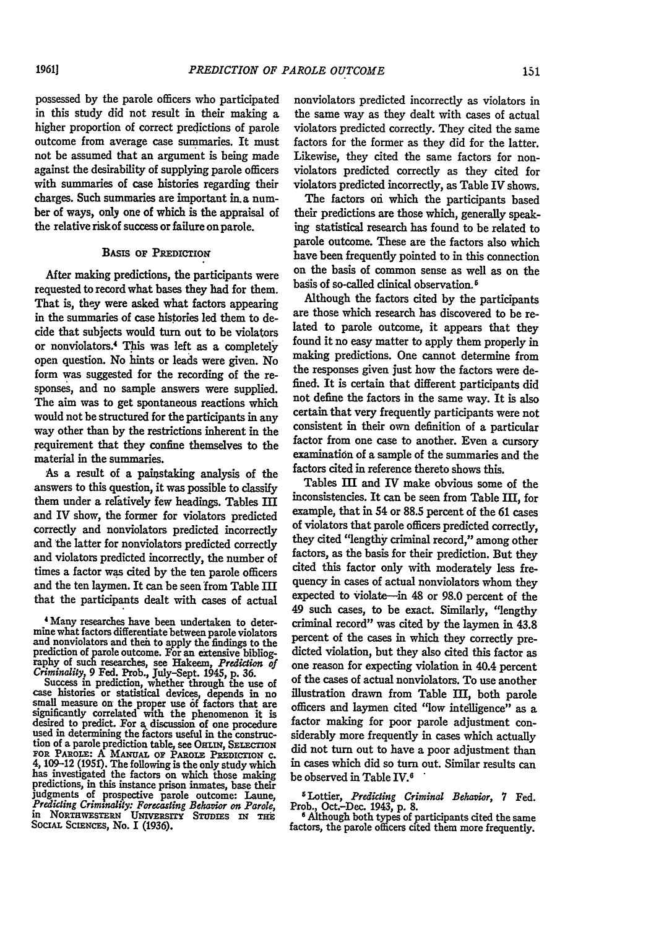possessed by the parole officers who participated in this study did not result in their making a higher proportion of correct predictions of parole outcome from average case summaries. It must not be assumed that an argument is being made against the desirability of supplying parole officers with summaries of case histories regarding their charges. Such summaries are important in. a number of ways, only one of which is the appraisal of the relative riskof success or failure on parole.

#### **BASIS OF PREDICTIOm**

After making predictions, the participants were requested to record what bases they had for them. That is, they were asked what factors appearing in the summaries of case histories led them to decide that subjects would turn out to be violators or nonviolators.<sup>4</sup> This was left as a completely open question. No hints or leads were given. No form was suggested for the recording of the responses, and no sample answers were supplied. The aim was to get spontaneous reactions which would not be structured for the participants in any way other than **by** the restrictions inherent in the irequirement that they confine themselves to the material in the summaries.

As a result of a painstaking analysis of the answers to this question, it was possible to classify them under a relatively few headings. Tables III and IV show, the former for violators predicted correctly and nonviolators predicted incorrectly and the latter for nonviolators predicted correctly and violators predicted incorrectly, the number of times a factor was cited **by** the ten parole officers and the ten laymen. It can be seen from Table III that the participants dealt with cases of actual

4 Many researches have been undertaken to determine what factors differentiate between parole violators and nonviolators and then to apply the findings to the prediction of parole outcome. For an extensive bibliogprediction of arole outcome. For an extensive bibliog- **raphy** of su researches, see Hakeem, *Prediction of Criminality,* **9** Fed. Prob., July-Sept. 1945, p. **36.**

Success **in** prediction, whether through the use of case histories or statistical devices, depends in no small measure on the proper use **6f** factors that are significantly correlated with the phenomenon it is desired to predict. For a, discussion of one procedure used in determining the factors useful in the construction of a parole prediction table, see OHLIN, SELECTION **FOR PARoiE: A** MAuAL op PAaorn **PREDIcTION** c. *4,* 109-12 **(1951).** The following is the only study which 4, 109-12 (1951). The following is the only study which has investigated the factors on which those making predictions, in this instance prison inmates, base their judgments of prospective parole outcome: Laune, *Predicting Criminality: Forecasting Behavior on Parole*, in NorTawEsTRN University STUDIES IN THE SOCIAL SCIENCES, No. I (1936).

nonviolators predicted incorrectly as violators in the same way as they dealt with cases of actual violators predicted correctly. They cited the same factors for the former as they did for the latter. Likewise, they cited the same factors for nonviolators predicted correctly as they cited for violators predicted incorrectly, as Table IV shows.

The factors oni which the participants based their predictions are those which, generally speaking statistical research has found to be related to parole outcome. These are the factors also which have been frequently pointed to in this connection on the basis of common sense as well as on the basis of so-called clinical observation.'

Although the factors cited **by** the participants are those which research has discovered to be related to parole outcome, it appears that they found it no easy matter to apply them properly in making predictions. One cannot determine from the responses given just how the factors were defined. It is certain that different participants did not define the factors in the same way. It is also certain that very frequently participants were not consistent in their own definition of a particular factor from one case to another. Even a cursory examination of a sample of the summaries and the factors cited in reference thereto shows this.

Tables III and IV make obvious some of the inconsistencies. It can be seen from Table III, for example, that in 54 or 88.5 percent of the **61** cases of violators that parole officers predicted correctly, they cited "lengthy criminal record," among other factors, as the basis for their prediction. But they cited this factor only with moderately less frequency in cases of actual nonviolators whom they expected to violate-in 48 or 98.0 percent of the 49 such cases, to be exact. Similarly, "lengthy criminal record" was cited **by** the laymen in 43.8 percent of the cases in which they correctly predicted violation, but they also cited this factor as one reason for expecting violation in 40.4 percent of the cases of actual nonviolators. To use another illustration drawn from Table M, both parole officers and laymen cited "low intelligence" as a factor making for poor parole adjustment considerably more frequently in cases which actually did not turn out to have a poor adjustment than in cases which did so turn out. Similar results can be observed in Table IV.

5Iottier, *Predicting Criminal Behavior, 7* Fed. Prob., Oct.-Dec. 1943, **p. 8. <sup>6</sup>**Although both types of participants cited the same

<sup>6</sup> Although both types of participants cited the same factors, the parole officers cited them more frequently.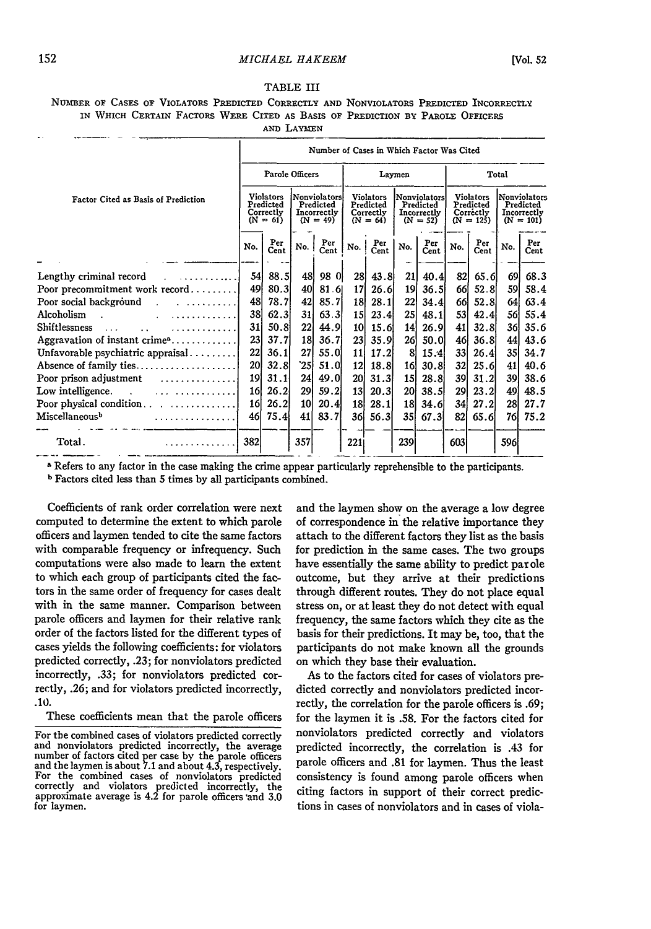TABLE III

|  |  |  |  |            | NUMBER OF CASES OF VIOLATORS PREDICTED CORRECTLY AND NONVIOLATORS PREDICTED INCORRECTLY |  |  |
|--|--|--|--|------------|-----------------------------------------------------------------------------------------|--|--|
|  |  |  |  |            | IN WHICH CERTAIN FACTORS WERE CITED AS BASIS OF PREDICTION BY PAROLE OFFICERS           |  |  |
|  |  |  |  | AND LAYMEN |                                                                                         |  |  |

|                                                                                                                                                                  | Number of Cases in Which Factor Was Cited |                                                          |                 |                                                               |           |                                                          |                 |                                                        |           |                                                           |          |                                                         |  |  |
|------------------------------------------------------------------------------------------------------------------------------------------------------------------|-------------------------------------------|----------------------------------------------------------|-----------------|---------------------------------------------------------------|-----------|----------------------------------------------------------|-----------------|--------------------------------------------------------|-----------|-----------------------------------------------------------|----------|---------------------------------------------------------|--|--|
|                                                                                                                                                                  |                                           | Parole Officers                                          |                 |                                                               |           |                                                          | Laymen          |                                                        | Total     |                                                           |          |                                                         |  |  |
| Factor Cited as Basis of Prediction                                                                                                                              |                                           | <b>Violators</b><br>Predicted<br>Correctly<br>$(N = 61)$ |                 | <b>Nonviolators</b><br>Predicted<br>Incorrectly<br>$(N = 49)$ |           | <b>Violators</b><br>Predicted<br>Correctly<br>$(N = 64)$ |                 | Nonviolators<br>Predicted<br>Incorrectly<br>$(N = 52)$ |           | <b>Violators</b><br>Predicted<br>Correctly<br>$(N = 125)$ |          | Nonviolators<br>Predicted<br>Incorrectly<br>$(N = 101)$ |  |  |
|                                                                                                                                                                  | No.                                       | Per<br>Cent                                              | No. I           | Per<br>Cent                                                   | No.       | Per<br>Cent                                              | No.             | Per<br>Cent                                            | No.       | Per<br>Cent                                               | No.      | Per<br>Cent                                             |  |  |
| Lengthy criminal record<br>$\mathbf{I} = \mathbf{I} \times \mathbf{I} \times \mathbf{I} \times \mathbf{I} \times \mathbf{I} \times \mathbf{I} \times \mathbf{I}$ | 54                                        | 88.5                                                     | 48              | 98 0                                                          | 28        | 43.8                                                     | 21              | 40.4                                                   | 82        | 65.6                                                      | 69       | 68.3                                                    |  |  |
| Poor precommitment work record<br>Poor social background<br>. 1                                                                                                  | 49<br>48                                  | 80.3<br>78.7l                                            | 40<br>42        | 81.6<br>85.7                                                  | 17<br>18  | 26.6<br>28.1                                             | 19<br>22        | 36.5<br>34.4                                           | 66<br>66  | 52.8<br>52.8                                              | 59<br>64 | 58.4<br>63.4                                            |  |  |
| Alcoholism<br>. <b>.</b> <i>. .</i> .                                                                                                                            | 38                                        | 62.3                                                     | 31 <sub>1</sub> | 63.3                                                          | <b>15</b> | 23.4                                                     | 25 <sub>1</sub> | 48.1                                                   | <b>53</b> | 42.4                                                      | 56       | 55.4                                                    |  |  |
| Shiftlessness<br>.<br>$\cdots$                                                                                                                                   | 31                                        | 50.8                                                     | 22              | 44.9                                                          | 10        | 15.6                                                     | 14              | <b>26.9</b>                                            | 41        | 32.8                                                      | 36       | 35.6                                                    |  |  |
| Aggravation of instant crime $n_1, \ldots, n_k$                                                                                                                  | 23                                        | 37.7                                                     | 18              | 36.71                                                         | 23        | 35.9                                                     | 26              | 50.0                                                   | 46        | 36.81                                                     | 441      | 43.6                                                    |  |  |
| Unfavorable psychiatric appraisal                                                                                                                                | 22                                        | 36.1                                                     | 27              | 55.0                                                          | 11        | 17.2                                                     | 8               | 15.4                                                   | 33        | 26.4                                                      | 35I      | 34.7                                                    |  |  |
| Absence of family ties                                                                                                                                           | 20                                        | 32.8                                                     | `25             | 51.0                                                          | 12        | 18.8                                                     | 16              | 30.8                                                   | 32        | 25.6                                                      | 41       | 40.6                                                    |  |  |
| . 1<br>Poor prison adjustment                                                                                                                                    | 19                                        | 31.1                                                     | 24              | 49.OI                                                         | 20        | 31.3                                                     | 15 <sub>l</sub> | 28.8                                                   | 39        | 31.2                                                      | 39       | 38.6                                                    |  |  |
| Low intelligence.                                                                                                                                                | 16                                        | 26.2                                                     | <b>29 </b>      | 59.2                                                          | 13        | 20.3                                                     | 20 <sub>1</sub> | 38.5                                                   | 29        | 23.2                                                      | 49]      | 48.5                                                    |  |  |
| Poor physical condition $\ldots$ $\ldots$ $\ldots$                                                                                                               | <b>16</b>                                 | 26.2                                                     | 10              | 20.4                                                          | 18        | 28.1                                                     | 18              | 34.6                                                   | 34        | 27.2                                                      | 281      | 27.7                                                    |  |  |
| Miscellaneousb                                                                                                                                                   | 46                                        | 75.4                                                     | 41              | 83.7                                                          | 36        | 56.3                                                     | 35I             | 67.3                                                   | 821       | 65.6                                                      | 76I      | 75.2                                                    |  |  |
| Total.                                                                                                                                                           | 382                                       |                                                          | 357             |                                                               | 221       |                                                          | 239             |                                                        | 603       |                                                           | 596      |                                                         |  |  |

a Refers to any factor in the case making the crime appear particularly reprehensible to the participants.

**<sup>b</sup>**Factors cited less than 5 times **by** all participants combined.

Coefficients of rank order correlation were next computed to determine the extent to which parole officers and laymen tended to cite the same factors with comparable frequency or infrequency. Such computations were also made to learn the extent to which each group of participants cited the factors in the same order of frequency for cases dealt with in the same manner. Comparison between parole officers and laymen for their relative rank order of the factors listed for the different types of cases yields the following coefficients: for violators predicted correctly, **.23;** for nonviolators predicted incorrectly, **.33;** for nonviolators predicted correctly, .26; and for violators predicted incorrectly, **.10.**

These coefficients mean that the parole officers

and the laymen show on the average a low degree of correspondence in the relative importance they attach to the different factors they list as the basis for prediction in the same cases. The two groups have essentially the same ability to predict parole outcome, but they arrive at their predictions through different routes. They do not place equal stress on, or at least they do not detect with equal frequency, the same factors which they cite as the basis for their predictions. It may be, too, that the participants do not make known all the grounds on which they base their evaluation.

As to the factors cited for cases of violators predicted correctly and nonviolators predicted incorrectly, the correlation for the parole officers is **.69;** for the laymen it is **.58.** For the factors cited for nonviolators predicted correctly and violators predicted incorrectly, the correlation is .43 for parole officers and **.81** for laymen. Thus the least consistency is found among parole officers when citing factors in support of their correct predictions in cases of nonviolators and in cases of viola-

For the combined cases of violators predicted correctly and nonviolators predicted incorrectly, the average number of factors cited per case **by** the parole officers and the laymen is about 7.1 and about 4.3, respectively. For the combined cases of nonviolators predicted correctly and violators predicted incorrectly, the approximate average is 4.2 for parole officers 'and **3.0** for laymen.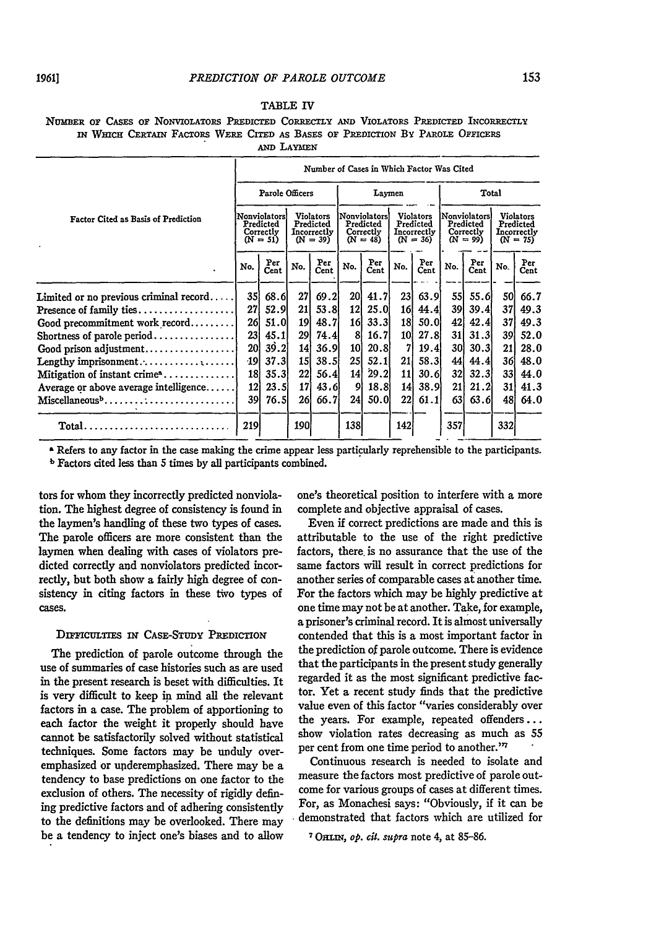#### TABLE IV

NUMBER OF CASES **OF** NONVIOLATORS PREDICTED CORRECTLY **AND** VIOLATORS PREDICTED INCORRECTLY **IN** WIcH **CERTAIN** FACTORS WERE CITED **AS** BASES **OF** PREDICTION By PAROLE OFFicERs **AND** LAYMEN

|                                                                           |                                                      |                 |                                                            |             |                                                       | Number of Cases in Which Factor Was Cited |                                                     |             |                                                      |             |                                                            |             |
|---------------------------------------------------------------------------|------------------------------------------------------|-----------------|------------------------------------------------------------|-------------|-------------------------------------------------------|-------------------------------------------|-----------------------------------------------------|-------------|------------------------------------------------------|-------------|------------------------------------------------------------|-------------|
|                                                                           |                                                      | Parole Officers |                                                            |             |                                                       | Laymen                                    |                                                     |             | Total                                                |             |                                                            |             |
| Factor Cited as Basis of Prediction                                       | Nonviolators<br>Predicted<br>Correctly<br>$(N = 51)$ |                 | <b>Violators</b><br>Predicted<br>Incorrectly<br>$(N = 39)$ |             | Nonviolatorsl<br>Predicted<br>Correctly<br>$(N = 48)$ |                                           | Violators<br>Predicted<br>Incorrectly<br>$(N = 36)$ |             | Nonviolators<br>Predicted<br>Correctly<br>$(N = 99)$ |             | <b>Violators</b><br>Predicted<br>Incorrectly<br>$(N = 75)$ |             |
|                                                                           | No.                                                  | Per<br>Cent     | No.                                                        | Per<br>Cent | No.                                                   | Per<br>Cent                               | No.                                                 | Per<br>Cent | No.                                                  | Per<br>Cent | No.                                                        | Per<br>Cent |
| Limited or no previous criminal record                                    | 35                                                   | 68.6            | 27                                                         | 69.2        | 20                                                    | 41.7                                      | 231                                                 | 63.9        | <b>55</b>                                            | 55.6        | 50                                                         | 66.7        |
| Presence of family ties                                                   | 27                                                   | 52.9            | 21                                                         | 53.8        | 12                                                    | 25.0                                      | 16                                                  | 44.4        | 391                                                  | 39.4        | 371                                                        | 49.3        |
| Good precommitment work record                                            | 26                                                   | 51.0            | 19                                                         | 48.7        | 16                                                    | 33.3                                      | 18                                                  | 50.0        | 42                                                   | 42.4        | 37                                                         | 49.3        |
| Shortness of parole period                                                | 23                                                   | 45.1            | 291                                                        | 74.4        | 81                                                    | 16.7                                      | 10l                                                 | 27.8        | 31                                                   | 31.3        | 391                                                        | 52.0        |
| Good prison adjustment                                                    | <b>20l</b>                                           | 39.2            | 14 l                                                       | 36.9l       | 10                                                    | 20.8                                      | 71                                                  | 19.4        | 30I                                                  | 30.3        | 21                                                         | 28.0        |
| Lengthy imprisonment                                                      | -19                                                  | 37.3            | 15I                                                        | 38.5        | <b>25</b>                                             | 52.1                                      | 21 <sub>1</sub>                                     | 58.3        | 44                                                   | 44.4        | 361                                                        | 48.0        |
| Mitigation of instant $\text{crine}^{\mathbf{a}} \dots \dots \dots \dots$ | 18}                                                  | 35.3            | 221                                                        | 56.4        | 14                                                    | 29.2                                      | 11 I                                                | 30.61       | 32I                                                  | 32.3        | <b>331</b>                                                 | 44.0        |
| Average or above average intelligence                                     | 12                                                   | 23.5            | 17                                                         | 43.6        | 91                                                    | 18.8                                      | 141                                                 | <b>38.9</b> | 21                                                   | 21.2        | 31 I                                                       | 41.3        |
| Miscellaneous <sup>b</sup>                                                | 39                                                   | 76.5            | 261                                                        | 66.7        | 241                                                   | 50.0                                      | 22 <sup>1</sup>                                     | 61.1        | 631                                                  | 63.6        | 48.                                                        | 64.0        |
| Total                                                                     | 219                                                  |                 | 190                                                        |             | 138                                                   |                                           | 142                                                 |             | 357                                                  |             | 332                                                        |             |

**a** Refers to any factor in the case making the crime appear less particularly reprehensible to the participants.

b Factors cited less than 5 times by all participants combined.

tors for whom they incorrectly predicted nonviolation. The highest degree of consistency is found in the laymen's handling of these two types of cases. The parole officers are more consistent than the laymen when dealing with cases of violators predicted correctly and nonviolators predicted incorrectly, but both show a fairly high degree of consistency in citing factors in these two types of cases.

#### DIFFICULTIES IN CASE-STUDY PREDICTION

The prediction of parole outcome through the use of summaries of case histories such as are used in the present research is beset with difficulties. It is very difficult to keep in mind all the relevant factors in a case. The problem of apportioning to each factor the weight it properly should have cannot be satisfactorily solved without statistical techniques. Some factors may be unduly overemphasized or underemphasized. There may be a tendency to base predictions on one factor to the exclusion of others. The necessity of rigidly defining predictive factors and of adhering consistently to the definitions may be overlooked. There may be a tendency to inject one's biases and to allow one's theoretical position to interfere with a more complete and objective appraisal of cases.

Even if correct predictions are made and this is attributable to the use of the right predictive factors, there. is no assurance that the use of the same factors will result in correct predictions for another series of comparable cases at another time. For the factors which may be highly predictive at one time may not be at another. Take, for example, a prisoner's criminal record. It is almost universally contended that this is a most important factor in the prediction of parole outcome. There is evidence that the participants in the present study generally regarded it as the most significant predictive factor. Yet a recent study finds that the predictive value even of this factor "varies considerably over the years. For example, repeated offenders... show violation rates decreasing as much as 55 per cent from one time period to another."7

Continuous research is needed to isolate and measure the factors most predictive of parole outcome for various groups of cases at different times. For, as Monachesi says: "Obviously, if it can be demonstrated that factors which are utilized for

**<sup>7</sup>**ORLM, *op. cit.* supra note 4, at **85-86.**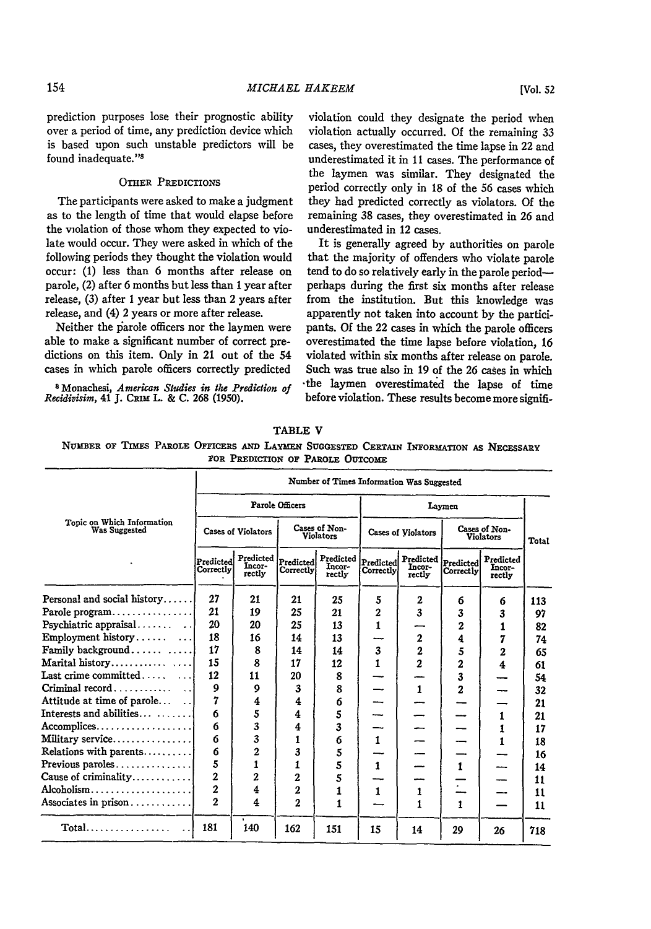prediction purposes lose their prognostic ability over a period of time, any prediction device which is based upon such unstable predictors will be

#### OTHER PREDICTIONS

The participants were asked to make a judgment as to the length of time that would elapse before the violation of those whom they expected to violate would occur. They were asked in which of the following periods they thought the violation would occur: (1) less than 6 months after release on parole, (2) after 6 months but less than **1** year after release, (3) after 1 year but less than 2 years after release, and (4) 2 years or more after release.

Neither the parole officers nor the laymen were able to make a significant number of correct predictions on this item. Only in 21 out of the 54 cases in which parole officers correctly predicted

8Monachesi, *American Studies in the Prediction of Recidivisim,* 41 **J. C m** L. & **C. 268 (1950).**

violation could they designate the period when violation actually occurred. Of the remaining 33 cases, they overestimated the time lapse in 22 and underestimated it in 11 cases. The performance of the laymen was similar. They designated the period correctly only in 18 of the 56 cases which they had predicted correctly as violators. Of the remaining 38 cases, they overestimated in 26 and underestimated in 12 cases.

It is generally agreed by authorities on parole that the majority of offenders who violate parole tend to do so relatively early in the parole periodperhaps during the first six months after release from the institution. But this knowledge was apparently not taken into account by the participants. Of the 22 cases in which the parole officers overestimated the time lapse before violation, 16 violated within six months after release on parole. Such was true also in **19** of the **26** cases in which -the laymen overestimated the lapse of time before violation. These results become more signifi-

|                                              | Number of Times Information Was Suggested |                               |                        |                               |                        |                               |                        |                                   |              |  |  |  |  |
|----------------------------------------------|-------------------------------------------|-------------------------------|------------------------|-------------------------------|------------------------|-------------------------------|------------------------|-----------------------------------|--------------|--|--|--|--|
|                                              |                                           |                               | Parole Officers        |                               |                        |                               |                        |                                   |              |  |  |  |  |
| Topic on Which Information<br>Was Suggested  |                                           | <b>Cases of Violators</b>     |                        | Cases of Non-<br>Violators    |                        | Cases of Violators            |                        | Cases of Non-<br><b>Violators</b> | <b>Total</b> |  |  |  |  |
|                                              | Predicted<br>Correctly                    | Predicted<br>Incor-<br>rectly | Predicted<br>Correctly | Predicted<br>Incor-<br>rectly | Predicted<br>Correctly | Predicted<br>Incor-<br>rectly | Predicted<br>Correctly | Predicted<br>Incor-<br>rectly     |              |  |  |  |  |
| Personal and social history                  | 27                                        | 21                            | 21                     | 25                            | 5                      | $\mathbf{2}$                  | 6                      | 6                                 | 113          |  |  |  |  |
| Parole program                               | 21                                        | 19                            | 25                     | 21                            | $\overline{2}$         | 3                             | 3                      | 3                                 | 97           |  |  |  |  |
| Psychiatric appraisal                        | 20                                        | 20                            | 25                     | 13                            | 1                      |                               | 2                      | 1                                 | 82           |  |  |  |  |
| Employment history                           | 18                                        | 16                            | 14                     | 13                            |                        | $\overline{2}$                | 4                      | 7                                 | 74           |  |  |  |  |
| Family background                            | 17                                        | 8                             | 14                     | 14                            | 3                      | $\overline{2}$                | 5                      | $\overline{2}$                    | 65           |  |  |  |  |
| Marital history                              | 15                                        | 8                             | 17                     | 12                            | $\mathbf{1}$           | $\mathbf 2$                   | $\mathbf{z}$           | 4                                 | 61           |  |  |  |  |
| Last crime committed $\ldots$                | 12                                        | 11                            | 20                     | 8                             |                        |                               | 3                      |                                   | 54           |  |  |  |  |
| Criminal record                              | $\mathbf{Q}$                              | 9                             | 3                      | 8                             |                        | $\mathbf{1}$                  | $\overline{2}$         |                                   | 32           |  |  |  |  |
| Attitude at time of parole                   | 7                                         | 4                             | 4                      | 6                             |                        |                               |                        |                                   | 21           |  |  |  |  |
| ${\rm Interests}$ and abilities $\,\ldots\,$ | 6                                         | 5                             | 4                      | 5                             |                        |                               |                        | 1                                 | 21           |  |  |  |  |
| Accomplices                                  | 6                                         | 3                             | 4                      | 3                             |                        |                               |                        | 1                                 | 17           |  |  |  |  |
| Military service                             | 6                                         | 3                             | 1                      | 6                             | $\mathbf{1}$           |                               |                        | 1                                 | 18           |  |  |  |  |
| Relations with parents                       | 6                                         | 2                             | 3                      | 5                             |                        |                               |                        |                                   | 16           |  |  |  |  |
| Previous paroles $\dots\dots\dots\dots\dots$ | 5                                         | 1                             | 1                      | 5                             | $\mathbf{1}$           |                               | 1                      |                                   | 14           |  |  |  |  |
| Cause of criminality                         | $\overline{2}$                            | $\overline{2}$                | $\overline{2}$         | 5                             |                        |                               |                        |                                   | 11           |  |  |  |  |
| Alcoholism                                   | $\overline{2}$                            | 4                             | 2                      | 1                             | 1                      | 1                             |                        |                                   | 11           |  |  |  |  |
| Associates in prison                         | $\overline{2}$                            | $\overline{\mathbf{4}}$       | $\overline{2}$         | 1                             |                        | 1                             | 1                      |                                   | 11           |  |  |  |  |
| $Total$                                      | 181                                       | ٠<br>140                      | 162                    | 151                           | 15                     | 14                            | 29                     | 26                                | 718          |  |  |  |  |

#### **TABLE** V

**NUMBER OF** TIMES **PAROLE OFFICERS AND LAYMEN SUGGESTED CERTAIN INFORMATION AS NECESSARY FOR PREDICTION** OF PAROLE **OUTCOME**

found inadequate."<sup>8</sup>